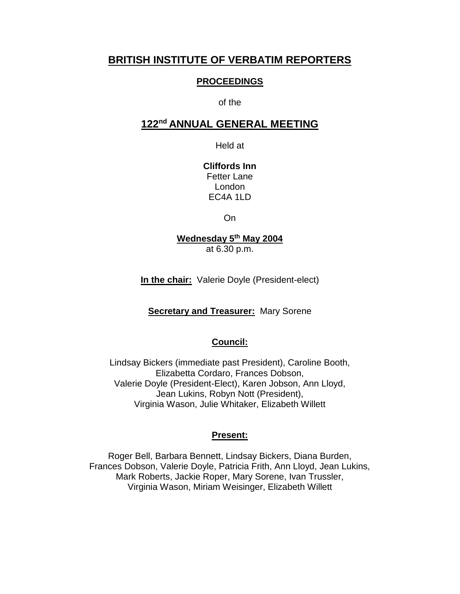## **BRITISH INSTITUTE OF VERBATIM REPORTERS**

#### **PROCEEDINGS**

#### of the

## **122nd ANNUAL GENERAL MEETING**

Held at

**Cliffords Inn** Fetter Lane London EC4A 1LD

On

### **Wednesday 5th May 2004** at 6.30 p.m.

**In the chair:** Valerie Doyle (President-elect)

**Secretary and Treasurer:** Mary Sorene

#### **Council:**

Lindsay Bickers (immediate past President), Caroline Booth, Elizabetta Cordaro, Frances Dobson, Valerie Doyle (President-Elect), Karen Jobson, Ann Lloyd, Jean Lukins, Robyn Nott (President), Virginia Wason, Julie Whitaker, Elizabeth Willett

#### **Present:**

Roger Bell, Barbara Bennett, Lindsay Bickers, Diana Burden, Frances Dobson, Valerie Doyle, Patricia Frith, Ann Lloyd, Jean Lukins, Mark Roberts, Jackie Roper, Mary Sorene, Ivan Trussler, Virginia Wason, Miriam Weisinger, Elizabeth Willett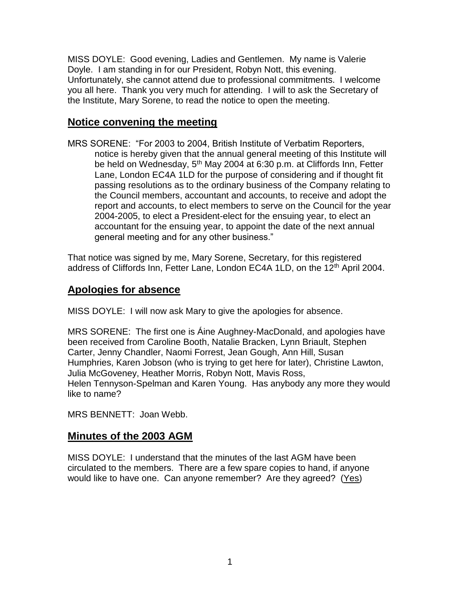MISS DOYLE: Good evening, Ladies and Gentlemen. My name is Valerie Doyle. I am standing in for our President, Robyn Nott, this evening. Unfortunately, she cannot attend due to professional commitments. I welcome you all here. Thank you very much for attending. I will to ask the Secretary of the Institute, Mary Sorene, to read the notice to open the meeting.

# **Notice convening the meeting**

MRS SORENE: "For 2003 to 2004, British Institute of Verbatim Reporters, notice is hereby given that the annual general meeting of this Institute will be held on Wednesday, 5<sup>th</sup> May 2004 at 6:30 p.m. at Cliffords Inn, Fetter Lane, London EC4A 1LD for the purpose of considering and if thought fit passing resolutions as to the ordinary business of the Company relating to the Council members, accountant and accounts, to receive and adopt the report and accounts, to elect members to serve on the Council for the year 2004-2005, to elect a President-elect for the ensuing year, to elect an accountant for the ensuing year, to appoint the date of the next annual general meeting and for any other business."

That notice was signed by me, Mary Sorene, Secretary, for this registered address of Cliffords Inn, Fetter Lane, London EC4A 1LD, on the 12<sup>th</sup> April 2004.

# **Apologies for absence**

MISS DOYLE: I will now ask Mary to give the apologies for absence.

MRS SORENE: The first one is Áine Aughney-MacDonald, and apologies have been received from Caroline Booth, Natalie Bracken, Lynn Briault, Stephen Carter, Jenny Chandler, Naomi Forrest, Jean Gough, Ann Hill, Susan Humphries, Karen Jobson (who is trying to get here for later), Christine Lawton, Julia McGoveney, Heather Morris, Robyn Nott, Mavis Ross, Helen Tennyson-Spelman and Karen Young. Has anybody any more they would like to name?

MRS BENNETT: Joan Webb.

# **Minutes of the 2003 AGM**

MISS DOYLE: I understand that the minutes of the last AGM have been circulated to the members. There are a few spare copies to hand, if anyone would like to have one. Can anyone remember? Are they agreed? (Yes)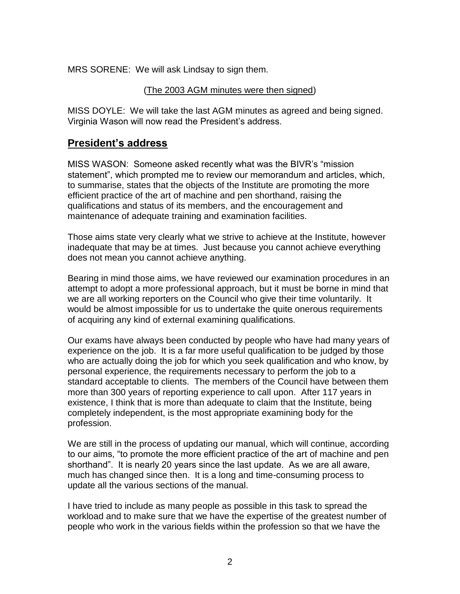MRS SORENE: We will ask Lindsay to sign them.

#### (The 2003 AGM minutes were then signed)

MISS DOYLE: We will take the last AGM minutes as agreed and being signed. Virginia Wason will now read the President's address.

## **President's address**

MISS WASON: Someone asked recently what was the BIVR's "mission statement", which prompted me to review our memorandum and articles, which, to summarise, states that the objects of the Institute are promoting the more efficient practice of the art of machine and pen shorthand, raising the qualifications and status of its members, and the encouragement and maintenance of adequate training and examination facilities.

Those aims state very clearly what we strive to achieve at the Institute, however inadequate that may be at times. Just because you cannot achieve everything does not mean you cannot achieve anything.

Bearing in mind those aims, we have reviewed our examination procedures in an attempt to adopt a more professional approach, but it must be borne in mind that we are all working reporters on the Council who give their time voluntarily. It would be almost impossible for us to undertake the quite onerous requirements of acquiring any kind of external examining qualifications.

Our exams have always been conducted by people who have had many years of experience on the job. It is a far more useful qualification to be judged by those who are actually doing the job for which you seek qualification and who know, by personal experience, the requirements necessary to perform the job to a standard acceptable to clients. The members of the Council have between them more than 300 years of reporting experience to call upon. After 117 years in existence, I think that is more than adequate to claim that the Institute, being completely independent, is the most appropriate examining body for the profession.

We are still in the process of updating our manual, which will continue, according to our aims, "to promote the more efficient practice of the art of machine and pen shorthand". It is nearly 20 years since the last update. As we are all aware, much has changed since then. It is a long and time-consuming process to update all the various sections of the manual.

I have tried to include as many people as possible in this task to spread the workload and to make sure that we have the expertise of the greatest number of people who work in the various fields within the profession so that we have the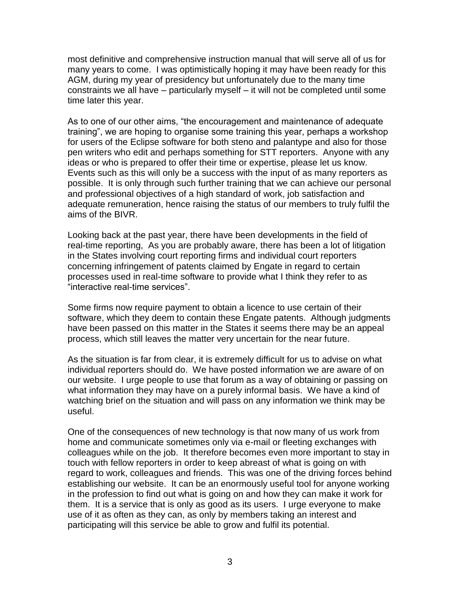most definitive and comprehensive instruction manual that will serve all of us for many years to come. I was optimistically hoping it may have been ready for this AGM, during my year of presidency but unfortunately due to the many time constraints we all have – particularly myself – it will not be completed until some time later this year.

As to one of our other aims, "the encouragement and maintenance of adequate training", we are hoping to organise some training this year, perhaps a workshop for users of the Eclipse software for both steno and palantype and also for those pen writers who edit and perhaps something for STT reporters. Anyone with any ideas or who is prepared to offer their time or expertise, please let us know. Events such as this will only be a success with the input of as many reporters as possible. It is only through such further training that we can achieve our personal and professional objectives of a high standard of work, job satisfaction and adequate remuneration, hence raising the status of our members to truly fulfil the aims of the BIVR.

Looking back at the past year, there have been developments in the field of real-time reporting, As you are probably aware, there has been a lot of litigation in the States involving court reporting firms and individual court reporters concerning infringement of patents claimed by Engate in regard to certain processes used in real-time software to provide what I think they refer to as "interactive real-time services".

Some firms now require payment to obtain a licence to use certain of their software, which they deem to contain these Engate patents. Although judgments have been passed on this matter in the States it seems there may be an appeal process, which still leaves the matter very uncertain for the near future.

As the situation is far from clear, it is extremely difficult for us to advise on what individual reporters should do. We have posted information we are aware of on our website. I urge people to use that forum as a way of obtaining or passing on what information they may have on a purely informal basis. We have a kind of watching brief on the situation and will pass on any information we think may be useful.

One of the consequences of new technology is that now many of us work from home and communicate sometimes only via e-mail or fleeting exchanges with colleagues while on the job. It therefore becomes even more important to stay in touch with fellow reporters in order to keep abreast of what is going on with regard to work, colleagues and friends. This was one of the driving forces behind establishing our website. It can be an enormously useful tool for anyone working in the profession to find out what is going on and how they can make it work for them. It is a service that is only as good as its users. I urge everyone to make use of it as often as they can, as only by members taking an interest and participating will this service be able to grow and fulfil its potential.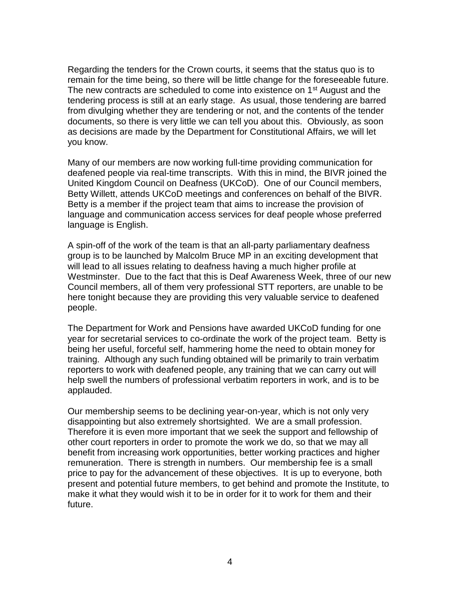Regarding the tenders for the Crown courts, it seems that the status quo is to remain for the time being, so there will be little change for the foreseeable future. The new contracts are scheduled to come into existence on 1<sup>st</sup> August and the tendering process is still at an early stage. As usual, those tendering are barred from divulging whether they are tendering or not, and the contents of the tender documents, so there is very little we can tell you about this. Obviously, as soon as decisions are made by the Department for Constitutional Affairs, we will let you know.

Many of our members are now working full-time providing communication for deafened people via real-time transcripts. With this in mind, the BIVR joined the United Kingdom Council on Deafness (UKCoD). One of our Council members, Betty Willett, attends UKCoD meetings and conferences on behalf of the BIVR. Betty is a member if the project team that aims to increase the provision of language and communication access services for deaf people whose preferred language is English.

A spin-off of the work of the team is that an all-party parliamentary deafness group is to be launched by Malcolm Bruce MP in an exciting development that will lead to all issues relating to deafness having a much higher profile at Westminster. Due to the fact that this is Deaf Awareness Week, three of our new Council members, all of them very professional STT reporters, are unable to be here tonight because they are providing this very valuable service to deafened people.

The Department for Work and Pensions have awarded UKCoD funding for one year for secretarial services to co-ordinate the work of the project team. Betty is being her useful, forceful self, hammering home the need to obtain money for training. Although any such funding obtained will be primarily to train verbatim reporters to work with deafened people, any training that we can carry out will help swell the numbers of professional verbatim reporters in work, and is to be applauded.

Our membership seems to be declining year-on-year, which is not only very disappointing but also extremely shortsighted. We are a small profession. Therefore it is even more important that we seek the support and fellowship of other court reporters in order to promote the work we do, so that we may all benefit from increasing work opportunities, better working practices and higher remuneration. There is strength in numbers. Our membership fee is a small price to pay for the advancement of these objectives. It is up to everyone, both present and potential future members, to get behind and promote the Institute, to make it what they would wish it to be in order for it to work for them and their future.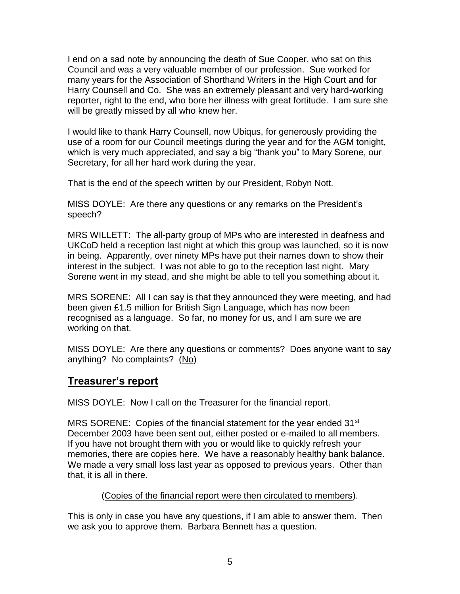I end on a sad note by announcing the death of Sue Cooper, who sat on this Council and was a very valuable member of our profession. Sue worked for many years for the Association of Shorthand Writers in the High Court and for Harry Counsell and Co. She was an extremely pleasant and very hard-working reporter, right to the end, who bore her illness with great fortitude. I am sure she will be greatly missed by all who knew her.

I would like to thank Harry Counsell, now Ubiqus, for generously providing the use of a room for our Council meetings during the year and for the AGM tonight, which is very much appreciated, and say a big "thank you" to Mary Sorene, our Secretary, for all her hard work during the year.

That is the end of the speech written by our President, Robyn Nott.

MISS DOYLE: Are there any questions or any remarks on the President's speech?

MRS WILLETT: The all-party group of MPs who are interested in deafness and UKCoD held a reception last night at which this group was launched, so it is now in being. Apparently, over ninety MPs have put their names down to show their interest in the subject. I was not able to go to the reception last night. Mary Sorene went in my stead, and she might be able to tell you something about it.

MRS SORENE: All I can say is that they announced they were meeting, and had been given £1.5 million for British Sign Language, which has now been recognised as a language. So far, no money for us, and I am sure we are working on that.

MISS DOYLE: Are there any questions or comments? Does anyone want to say anything? No complaints? (No)

## **Treasurer's report**

MISS DOYLE: Now I call on the Treasurer for the financial report.

MRS SORENE: Copies of the financial statement for the year ended  $31<sup>st</sup>$ December 2003 have been sent out, either posted or e-mailed to all members. If you have not brought them with you or would like to quickly refresh your memories, there are copies here. We have a reasonably healthy bank balance. We made a very small loss last year as opposed to previous years. Other than that, it is all in there.

#### (Copies of the financial report were then circulated to members).

This is only in case you have any questions, if I am able to answer them. Then we ask you to approve them. Barbara Bennett has a question.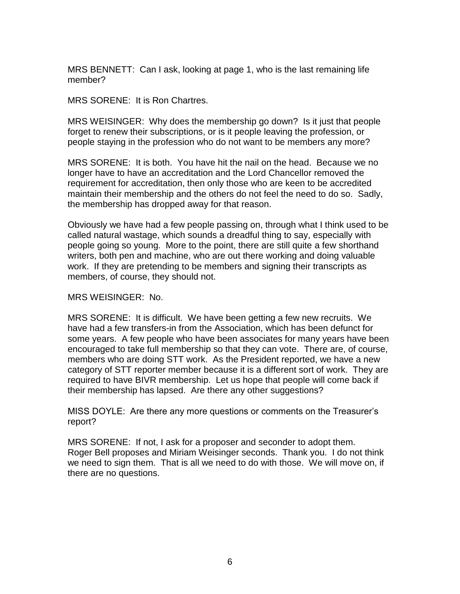MRS BENNETT: Can I ask, looking at page 1, who is the last remaining life member?

MRS SORENE: It is Ron Chartres.

MRS WEISINGER: Why does the membership go down? Is it just that people forget to renew their subscriptions, or is it people leaving the profession, or people staying in the profession who do not want to be members any more?

MRS SORENE: It is both. You have hit the nail on the head. Because we no longer have to have an accreditation and the Lord Chancellor removed the requirement for accreditation, then only those who are keen to be accredited maintain their membership and the others do not feel the need to do so. Sadly, the membership has dropped away for that reason.

Obviously we have had a few people passing on, through what I think used to be called natural wastage, which sounds a dreadful thing to say, especially with people going so young. More to the point, there are still quite a few shorthand writers, both pen and machine, who are out there working and doing valuable work. If they are pretending to be members and signing their transcripts as members, of course, they should not.

MRS WEISINGER: No.

MRS SORENE: It is difficult. We have been getting a few new recruits. We have had a few transfers-in from the Association, which has been defunct for some years. A few people who have been associates for many years have been encouraged to take full membership so that they can vote. There are, of course, members who are doing STT work. As the President reported, we have a new category of STT reporter member because it is a different sort of work. They are required to have BIVR membership. Let us hope that people will come back if their membership has lapsed. Are there any other suggestions?

MISS DOYLE: Are there any more questions or comments on the Treasurer's report?

MRS SORENE: If not, I ask for a proposer and seconder to adopt them. Roger Bell proposes and Miriam Weisinger seconds. Thank you. I do not think we need to sign them. That is all we need to do with those. We will move on, if there are no questions.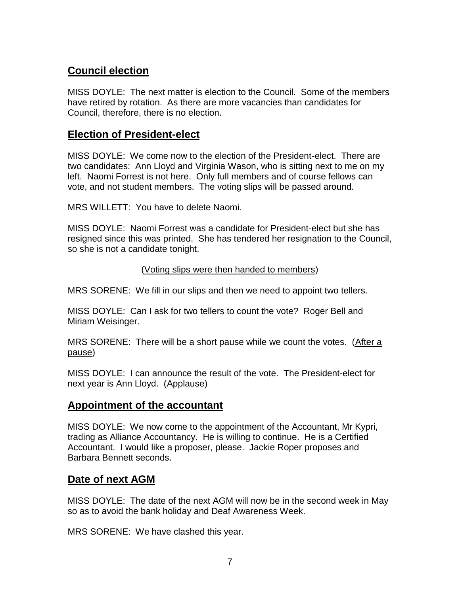# **Council election**

MISS DOYLE: The next matter is election to the Council. Some of the members have retired by rotation. As there are more vacancies than candidates for Council, therefore, there is no election.

## **Election of President-elect**

MISS DOYLE: We come now to the election of the President-elect. There are two candidates: Ann Lloyd and Virginia Wason, who is sitting next to me on my left. Naomi Forrest is not here. Only full members and of course fellows can vote, and not student members. The voting slips will be passed around.

MRS WILLETT: You have to delete Naomi.

MISS DOYLE: Naomi Forrest was a candidate for President-elect but she has resigned since this was printed. She has tendered her resignation to the Council, so she is not a candidate tonight.

### (Voting slips were then handed to members)

MRS SORENE: We fill in our slips and then we need to appoint two tellers.

MISS DOYLE: Can I ask for two tellers to count the vote? Roger Bell and Miriam Weisinger.

MRS SORENE: There will be a short pause while we count the votes. (After a pause)

MISS DOYLE: I can announce the result of the vote. The President-elect for next year is Ann Lloyd. (Applause)

# **Appointment of the accountant**

MISS DOYLE: We now come to the appointment of the Accountant, Mr Kypri, trading as Alliance Accountancy. He is willing to continue. He is a Certified Accountant. I would like a proposer, please. Jackie Roper proposes and Barbara Bennett seconds.

# **Date of next AGM**

MISS DOYLE: The date of the next AGM will now be in the second week in May so as to avoid the bank holiday and Deaf Awareness Week.

MRS SORENE: We have clashed this year.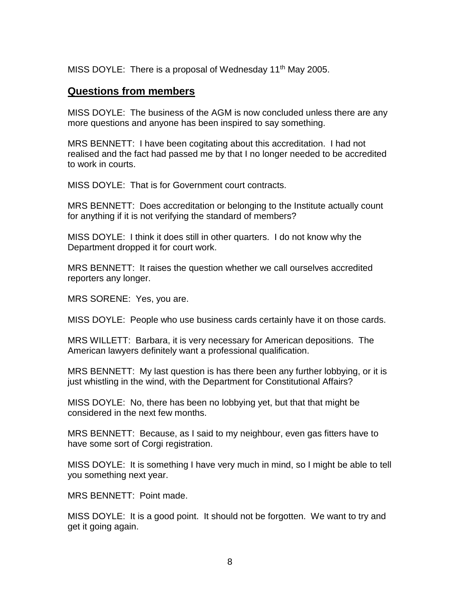MISS DOYLE: There is a proposal of Wednesday 11<sup>th</sup> May 2005.

## **Questions from members**

MISS DOYLE: The business of the AGM is now concluded unless there are any more questions and anyone has been inspired to say something.

MRS BENNETT: I have been cogitating about this accreditation. I had not realised and the fact had passed me by that I no longer needed to be accredited to work in courts.

MISS DOYLE: That is for Government court contracts.

MRS BENNETT: Does accreditation or belonging to the Institute actually count for anything if it is not verifying the standard of members?

MISS DOYLE: I think it does still in other quarters. I do not know why the Department dropped it for court work.

MRS BENNETT: It raises the question whether we call ourselves accredited reporters any longer.

MRS SORENE: Yes, you are.

MISS DOYLE: People who use business cards certainly have it on those cards.

MRS WILLETT: Barbara, it is very necessary for American depositions. The American lawyers definitely want a professional qualification.

MRS BENNETT: My last question is has there been any further lobbying, or it is just whistling in the wind, with the Department for Constitutional Affairs?

MISS DOYLE: No, there has been no lobbying yet, but that that might be considered in the next few months.

MRS BENNETT: Because, as I said to my neighbour, even gas fitters have to have some sort of Corgi registration.

MISS DOYLE: It is something I have very much in mind, so I might be able to tell you something next year.

MRS BENNETT: Point made.

MISS DOYLE: It is a good point. It should not be forgotten. We want to try and get it going again.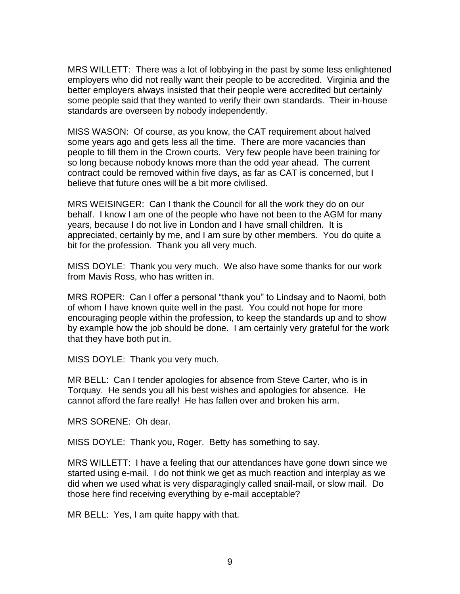MRS WILLETT: There was a lot of lobbying in the past by some less enlightened employers who did not really want their people to be accredited. Virginia and the better employers always insisted that their people were accredited but certainly some people said that they wanted to verify their own standards. Their in-house standards are overseen by nobody independently.

MISS WASON: Of course, as you know, the CAT requirement about halved some years ago and gets less all the time. There are more vacancies than people to fill them in the Crown courts. Very few people have been training for so long because nobody knows more than the odd year ahead. The current contract could be removed within five days, as far as CAT is concerned, but I believe that future ones will be a bit more civilised.

MRS WEISINGER: Can I thank the Council for all the work they do on our behalf. I know I am one of the people who have not been to the AGM for many years, because I do not live in London and I have small children. It is appreciated, certainly by me, and I am sure by other members. You do quite a bit for the profession. Thank you all very much.

MISS DOYLE: Thank you very much. We also have some thanks for our work from Mavis Ross, who has written in.

MRS ROPER: Can I offer a personal "thank you" to Lindsay and to Naomi, both of whom I have known quite well in the past. You could not hope for more encouraging people within the profession, to keep the standards up and to show by example how the job should be done. I am certainly very grateful for the work that they have both put in.

MISS DOYLE: Thank you very much.

MR BELL: Can I tender apologies for absence from Steve Carter, who is in Torquay. He sends you all his best wishes and apologies for absence. He cannot afford the fare really! He has fallen over and broken his arm.

MRS SORENE: Oh dear.

MISS DOYLE: Thank you, Roger. Betty has something to say.

MRS WILLETT: I have a feeling that our attendances have gone down since we started using e-mail. I do not think we get as much reaction and interplay as we did when we used what is very disparagingly called snail-mail, or slow mail. Do those here find receiving everything by e-mail acceptable?

MR BELL: Yes, I am quite happy with that.